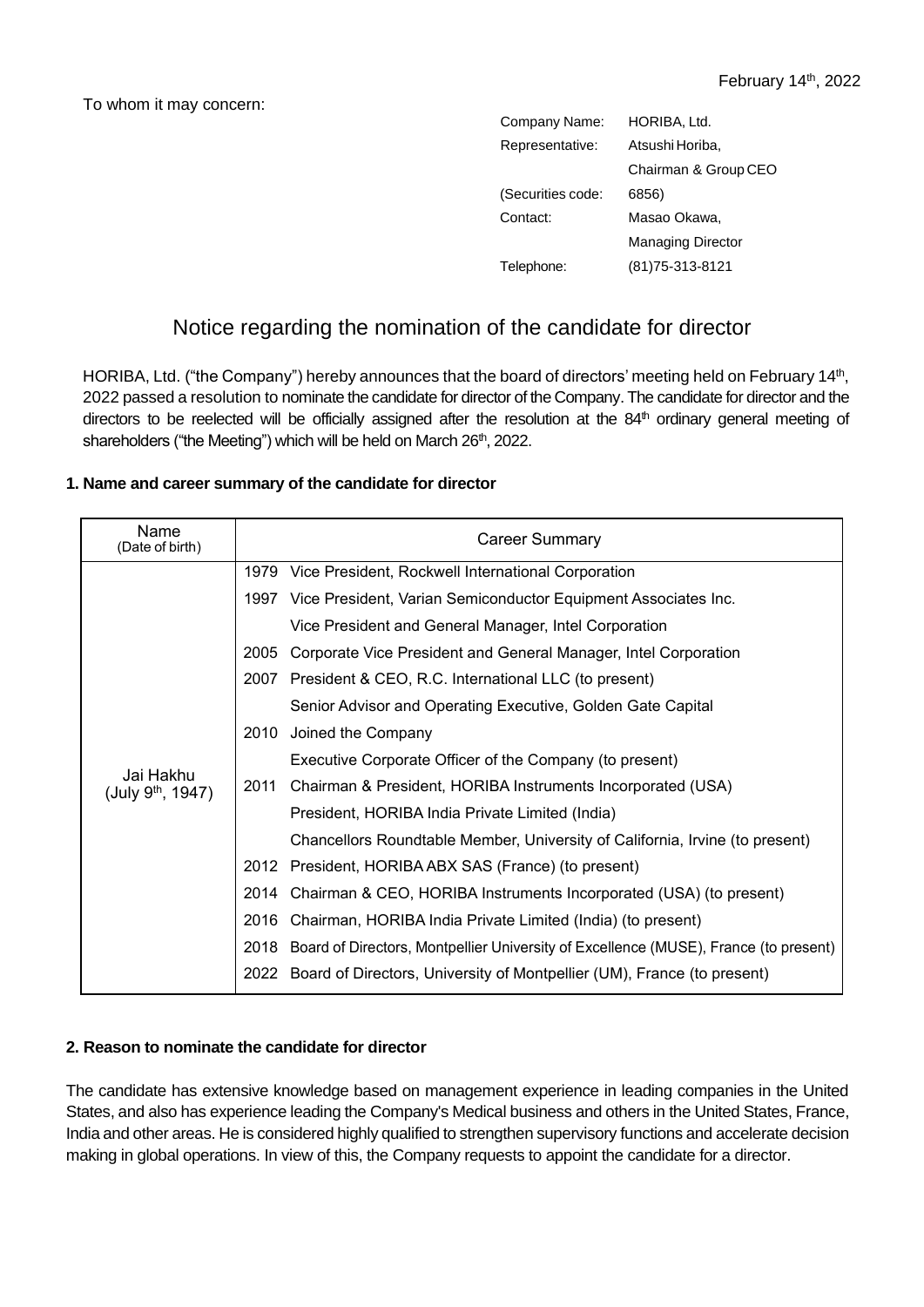To whom it may concern:

| Company Name:     | HORIBA, Ltd.             |  |
|-------------------|--------------------------|--|
| Representative:   | Atsushi Horiba,          |  |
|                   | Chairman & Group CEO     |  |
| (Securities code: | 6856)                    |  |
| Contact:          | Masao Okawa,             |  |
|                   | <b>Managing Director</b> |  |
| Telephone:        | (81) 75-313-8121         |  |

## Notice regarding the nomination of the candidate for director

HORIBA, Ltd. ("the Company") hereby announces that the board of directors' meeting held on February 14<sup>th</sup>, 2022 passed a resolution to nominate the candidate for director of the Company. The candidate for director and the directors to be reelected will be officially assigned after the resolution at the 84<sup>th</sup> ordinary general meeting of shareholders ("the Meeting") which will be held on March 26<sup>th</sup>, 2022.

## **1. Name and career summary of the candidate for director**

| Name<br>(Date of birth)             |      | <b>Career Summary</b>                                                                     |  |
|-------------------------------------|------|-------------------------------------------------------------------------------------------|--|
| Jai Hakhu<br>(July $9^{th}$ , 1947) |      | 1979 Vice President, Rockwell International Corporation                                   |  |
|                                     |      | 1997 Vice President, Varian Semiconductor Equipment Associates Inc.                       |  |
|                                     |      | Vice President and General Manager, Intel Corporation                                     |  |
|                                     | 2005 | Corporate Vice President and General Manager, Intel Corporation                           |  |
|                                     | 2007 | President & CEO, R.C. International LLC (to present)                                      |  |
|                                     |      | Senior Advisor and Operating Executive, Golden Gate Capital                               |  |
|                                     | 2010 | Joined the Company                                                                        |  |
|                                     |      | Executive Corporate Officer of the Company (to present)                                   |  |
|                                     | 2011 | Chairman & President, HORIBA Instruments Incorporated (USA)                               |  |
|                                     |      | President, HORIBA India Private Limited (India)                                           |  |
|                                     |      | Chancellors Roundtable Member, University of California, Irvine (to present)              |  |
|                                     |      | 2012 President, HORIBA ABX SAS (France) (to present)                                      |  |
|                                     | 2014 | Chairman & CEO, HORIBA Instruments Incorporated (USA) (to present)                        |  |
|                                     |      | 2016 Chairman, HORIBA India Private Limited (India) (to present)                          |  |
|                                     |      | 2018 Board of Directors, Montpellier University of Excellence (MUSE), France (to present) |  |
|                                     |      | 2022 Board of Directors, University of Montpellier (UM), France (to present)              |  |

## **2. Reason to nominate the candidate for director**

The candidate has extensive knowledge based on management experience in leading companies in the United States, and also has experience leading the Company's Medical business and others in the United States, France, India and other areas. He is considered highly qualified to strengthen supervisory functions and accelerate decision making in global operations. In view of this, the Company requests to appoint the candidate for a director.